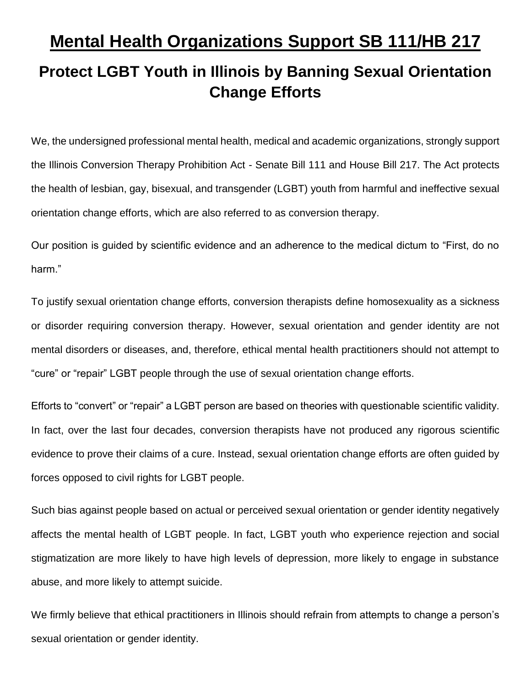## **Mental Health Organizations Support SB 111/HB 217**

## **Protect LGBT Youth in Illinois by Banning Sexual Orientation Change Efforts**

We, the undersigned professional mental health, medical and academic organizations, strongly support the Illinois Conversion Therapy Prohibition Act - Senate Bill 111 and House Bill 217. The Act protects the health of lesbian, gay, bisexual, and transgender (LGBT) youth from harmful and ineffective sexual orientation change efforts, which are also referred to as conversion therapy.

Our position is guided by scientific evidence and an adherence to the medical dictum to "First, do no harm."

To justify sexual orientation change efforts, conversion therapists define homosexuality as a sickness or disorder requiring conversion therapy. However, sexual orientation and gender identity are not mental disorders or diseases, and, therefore, ethical mental health practitioners should not attempt to "cure" or "repair" LGBT people through the use of sexual orientation change efforts.

Efforts to "convert" or "repair" a LGBT person are based on theories with questionable scientific validity. In fact, over the last four decades, conversion therapists have not produced any rigorous scientific evidence to prove their claims of a cure. Instead, sexual orientation change efforts are often guided by forces opposed to civil rights for LGBT people.

Such bias against people based on actual or perceived sexual orientation or gender identity negatively affects the mental health of LGBT people. In fact, LGBT youth who experience rejection and social stigmatization are more likely to have high levels of depression, more likely to engage in substance abuse, and more likely to attempt suicide.

We firmly believe that ethical practitioners in Illinois should refrain from attempts to change a person's sexual orientation or gender identity.